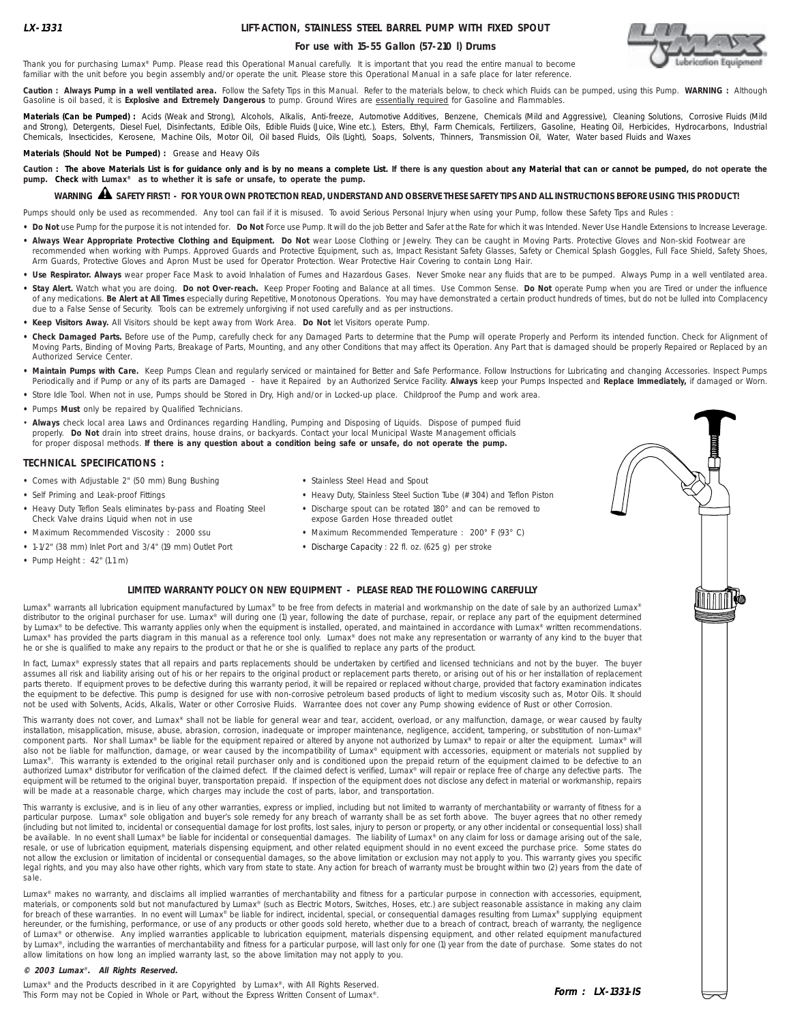### **LIFT-ACTION, STAINLESS STEEL BARREL PUMP WITH FIXED SPOUT**

#### **For use with 15-55 Gallon (57-210 l) Drums**



Thank you for purchasing Lumax® Pump. Please read this Operational Manual carefully. It is important that you read the entire manual to become familiar with the unit before you begin assembly and/or operate the unit. Please store this Operational Manual in a safe place for later reference.

**Caution : Always Pump in a well ventilated area.** Follow the Safety Tips in this Manual. Refer to the materials below, to check which Fluids can be pumped, using this Pump. **WARNING :** Although Gasoline is oil based, it is **Explosive and Extremely Dangerous** to pump. Ground Wires are essentially required for Gasoline and Flammables.

**Materials (Can be Pumped) :** Acids (Weak and Strong), Alcohols, Alkalis, Anti-freeze, Automotive Additives, Benzene, Chemicals (Mild and Aggressive), Cleaning Solutions, Corrosive Fluids (Mild and Strong), Detergents, Diesel Fuel, Disinfectants, Edible Oils, Edible Fluids (Juice, Wine etc.), Esters, Ethyl, Farm Chemicals, Fertilizers, Gasoline, Heating Oil, Herbicides, Hydrocarbons, Industrial Chemicals, Insecticides, Kerosene, Machine Oils, Motor Oil, Oil based Fluids, Oils (Light), Soaps, Solvents, Thinners, Transmission Oil, Water, Water based Fluids and Waxes

**Materials (Should Not be Pumped) :** Grease and Heavy Oils

Caution : The above Materials List is for guidance only and is by no means a complete List. If there is any question about any Material that can or cannot be pumped, do not operate the **pump. Check with Lumax® as to whether it is safe or unsafe, to operate the pump.**

## **WARNING SAFETY FIRST! - FOR YOUR OWN PROTECTION READ, UNDERSTAND AND OBSERVE THESE SAFETY TIPS AND ALL INSTRUCTIONS BEFORE USING THIS PRODUCT!** !

Pumps should only be used as recommended. Any tool can fail if it is misused. To avoid Serious Personal Injury when using your Pump, follow these Safety Tips and Rules :

- . Do Not use Pump for the purpose it is not intended for. Do Not Force use Pump. It will do the job Better and Safer at the Rate for which it was Intended. Never Use Handle Extensions to Increase Leverage. . Always Wear Appropriate Protective Clothing and Equipment. Do Not wear Loose Clothing or Jewelry. They can be caught in Moving Parts. Protective Gloves and Non-skid Footwear are
- recommended when working with Pumps. Approved Guards and Protective Equipment, such as, Impact Resistant Safety Glasses, Safety or Chemical Splash Goggles, Full Face Shield, Safety Shoes, Arm Guards, Protective Gloves and Apron Must be used for Operator Protection. Wear Protective Hair Covering to contain Long Hair.
- Use Respirator. Always wear proper Face Mask to avoid Inhalation of Fumes and Hazardous Gases. Never Smoke near any fluids that are to be pumped. Always Pump in a well ventilated area.
- . Stay Alert. Watch what you are doing. Do not Over-reach. Keep Proper Footing and Balance at all times. Use Common Sense. Do Not operate Pump when you are Tired or under the influence of any medications. **Be Alert at All Times** especially during Repetitive, Monotonous Operations. You may have demonstrated a certain product hundreds of times, but do not be lulled into Complacency due to a False Sense of Security. Tools can be extremely unforgiving if not used carefully and as per instructions.
- **• Keep Visitors Away.** All Visitors should be kept away from Work Area. **Do Not** let Visitors operate Pump.
- **• Check Damaged Parts.** Before use of the Pump, carefully check for any Damaged Parts to determine that the Pump will operate Properly and Perform its intended function. Check for Alignment of Moving Parts, Binding of Moving Parts, Breakage of Parts, Mounting, and any other Conditions that may affect its Operation. Any Part that is damaged should be properly Repaired or Replaced by an Authorized Service Center.
- **• Maintain Pumps with Care.** Keep Pumps Clean and regularly serviced or maintained for Better and Safe Performance. Follow Instructions for Lubricating and changing Accessories. Inspect Pumps Periodically and if Pump or any of its parts are Damaged - have it Repaired by an Authorized Service Facility. **Always** keep your Pumps Inspected and **Replace Immediately,** if damaged or Worn.
- **•** Store Idle Tool. When not in use, Pumps should be Stored in Dry, High and/or in Locked-up place. Childproof the Pump and work area.
- **•** Pumps **Must** only be repaired by Qualified Technicians.
- **Always** check local area Laws and Ordinances regarding Handling, Pumping and Disposing of Liquids. Dispose of pumped fluid properly. **Do Not** drain into street drains, house drains, or backyards. Contact your local Municipal Waste Management officials for proper disposal methods. **If there is any question about a condition being safe or unsafe, do not operate the pump.**

#### **TECHNICAL SPECIFICATIONS :**

- **•** Comes with Adjustable 2" (50 mm) Bung Bushing **•** Stainless Steel Head and Spout
- 
- **•** Heavy Duty Teflon Seals eliminates by-pass and Floating Steel **•** Discharge spout can be rotated 180° and can be removed to Check Valve drains Liquid when not in use expose Garden Hose threaded outlet
- **•** Maximum Recommended Viscosity : 2000 ssu **•** Maximum Recommended Temperature : 200° F (93° C)
- **•** 1-1/2" (38 mm) Inlet Port and 3/4" (19 mm) Outlet Port **•** Discharge Capacity : 22 fl. oz. (625 g) per stroke
- **•** Pump Height : 42" (1.1 m)
- 
- **•** Self Priming and Leak-proof Fittings **•** Heavy Duty, Stainless Steel Suction Tube (# 304) and Teflon Piston
	-
	-
	-
	-



Lumax® warrants all lubrication equipment manufactured by Lumax® to be free from defects in material and workmanship on the date of sale by an authorized Lumax® distributor to the original purchaser for use. Lumax® will during one (1) year, following the date of purchase, repair, or replace any part of the equipment determined by Lumax<sup>®</sup> to be defective. This warranty applies only when the equipment is installed, operated, and maintained in accordance with Lumax<sup>®</sup> written recommendations. Lumax® has provided the parts diagram in this manual as a reference tool only. Lumax® does not make any representation or warranty of any kind to the buyer that he or she is qualified to make any repairs to the product or that he or she is qualified to replace any parts of the product.

In fact, Lumax® expressly states that all repairs and parts replacements should be undertaken by certified and licensed technicians and not by the buyer. The buyer assumes all risk and liability arising out of his or her repairs to the original product or replacement parts thereto, or arising out of his or her installation of replacement parts thereto. If equipment proves to be defective during this warranty period, it will be repaired or replaced without charge, provided that factory examination indicates the equipment to be defective. This pump is designed for use with non-corrosive petroleum based products of light to medium viscosity such as, Motor Oils. It should not be used with Solvents, Acids, Alkalis, Water or other Corrosive Fluids. Warrantee does not cover any Pump showing evidence of Rust or other Corrosion.

This warranty does not cover, and Lumax® shall not be liable for general wear and tear, accident, overload, or any malfunction, damage, or wear caused by faulty installation, misapplication, misuse, abuse, abrasion, corrosion, inadequate or improper maintenance, negligence, accident, tampering, or substitution of non-Lumax® component parts. Nor shall Lumax® be liable for the equipment repaired or altered by anyone not authorized by Lumax® to repair or alter the equipment. Lumax® will also not be liable for malfunction, damage, or wear caused by the incompatibility of Lumax® equipment with accessories, equipment or materials not supplied by Lumax®. This warranty is extended to the original retail purchaser only and is conditioned upon the prepaid return of the equipment claimed to be defective to an authorized Lumax® distributor for verification of the claimed defect. If the claimed defect is verified, Lumax® will repair or replace free of charge any defective parts. The equipment will be returned to the original buyer, transportation prepaid. If inspection of the equipment does not disclose any defect in material or workmanship, repairs will be made at a reasonable charge, which charges may include the cost of parts, labor, and transportation.

This warranty is exclusive, and is in lieu of any other warranties, express or implied, including but not limited to warranty of merchantability or warranty of fitness for a particular purpose. Lumax® sole obligation and buyer's sole remedy for any breach of warranty shall be as set forth above. The buyer agrees that no other remedy (including but not limited to, incidental or consequential damage for lost profits, lost sales, injury to person or property, or any other incidental or consequential loss) shall be available. In no event shall Lumax® be liable for incidental or consequential damages. The liability of Lumax® on any claim for loss or damage arising out of the sale, resale, or use of lubrication equipment, materials dispensing equipment, and other related equipment should in no event exceed the purchase price. Some states do not allow the exclusion or limitation of incidental or consequential damages, so the above limitation or exclusion may not apply to you. This warranty gives you specific legal rights, and you may also have other rights, which vary from state to state. Any action for breach of warranty must be brought within two (2) years from the date of sale.

Lumax® makes no warranty, and disclaims all implied warranties of merchantability and fitness for a particular purpose in connection with accessories, equipment, materials, or components sold but not manufactured by Lumax® (such as Electric Motors, Switches, Hoses, etc.) are subject reasonable assistance in making any claim for breach of these warranties. In no event will Lumax® be liable for indirect, incidental, special, or consequential damages resulting from Lumax® supplying equipment hereunder, or the furnishing, performance, or use of any products or other goods sold hereto, whether due to a breach of contract, breach of warranty, the negligence of Lumax® or otherwise. Any implied warranties applicable to lubrication equipment, materials dispensing equipment, and other related equipment manufactured by Lumax®, including the warranties of merchantability and fitness for a particular purpose, will last only for one (1) year from the date of purchase. Some states do not allow limitations on how long an implied warranty last, so the above limitation may not apply to you.

#### **© 2003 Lumax**® **. All Rights Reserved.**

Lumax® and the Products described in it are Copyrighted by Lumax®, with All Rights Reserved. This Form may not be Copied in Whole or Part, without the Express Written Consent of Lumax®.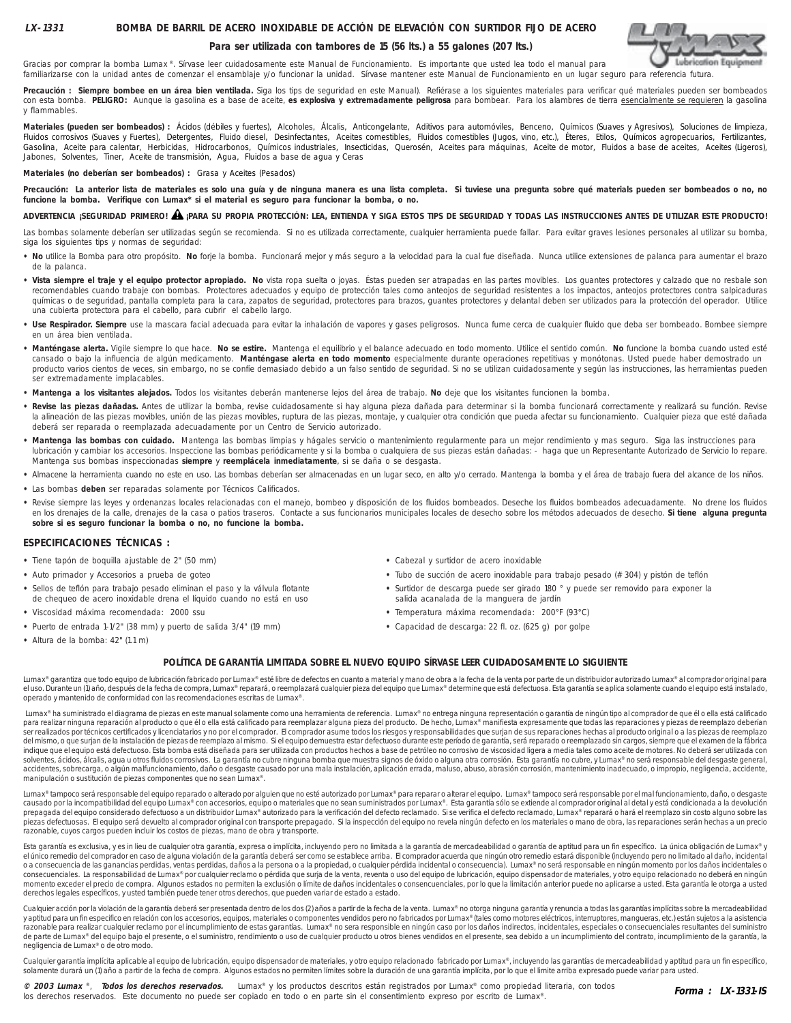# **Lubrication Equipment**

Gracias por comprar la bomba Lumax<sup>®</sup>. Sírvase leer cuidadosamente este Manual de Funcionamiento. Es importante que usted lea todo el manual para familiarizarse con la unidad antes de comenzar el ensamblaje y/o funcionar la unidad. Sírvase mantener este Manual de Funcionamiento en un lugar seguro para referencia futura.

Precaución : Siempre bombee en un área bien ventilada. Siga los tips de seguridad en este Manual). Refiérase a los siguientes materiales para verificar qué materiales pueden ser bombeados con esta bomba. PELIGRO: Aunque la gasolina es a base de aceite, es explosiva y extremadamente peligrosa para bombear. Para los alambres de tierra esencialmente se requieren la gasolina y flammables.

**Para ser utilizada con tambores de 15 (56 lts.) a 55 galones (207 lts.)**

Materiales (pueden ser bombeados) : Acidos (débiles y fuertes), Alcoholes, Alcalis, Anticongelante, Aditivos para automóviles, Benceno, Químicos (Suaves y Agresivos), Soluciones de limpieza,<br>Fluidos corrosivos (Suaves y Fu Gasolina, Aceite para calentar, Herbicidas, Hidrocarbonos, Químicos industriales, Insecticidas, Querosén, Aceites para máquinas, Aceite de motor, Fluidos a base de aceites, Aceites (Ligeros), Jabones, Solventes, Tiner, Aceite de transmisión, Agua, Fluidos a base de agua y Ceras

**Materiales (no deberían ser bombeados) :** Grasa y Aceites (Pesados)

Precaución: La anterior lista de materiales es solo una guía y de ninguna manera es una lista completa. Si tuviese una pregunta sobre qué materials pueden ser bombeados o no, no **funcione la bomba. Verifique con Lumax\* si el material es seguro para funcionar la bomba, o no.**

### **ADVERTENCIA ¡SEGURIDAD PRIMERO! ¡PARA SU PROPIA PROTECCIÓN: LEA, ENTIENDA Y SIGA ESTOS TIPS DE SEGURIDAD Y TODAS LAS INSTRUCCIONES ANTES DE UTILIZAR ESTE PRODUCTO!** !

Las bombas solamente deberían ser utilizadas según se recomienda. Si no es utilizada correctamente, cualquier herramienta puede fallar. Para evitar graves lesiones personales al utilizar su bomba, siga los siguientes tips y normas de seguridad:

- **No** utilice la Bomba para otro propósito. **No** forje la bomba. Funcionará mejor y más seguro a la velocidad para la cual fue diseñada. Nunca utilice extensiones de palanca para aumentar el brazo de la palanca.
- **Vista siempre el traje y el equipo protector apropiado. No** vista ropa suelta o joyas. Éstas pueden ser atrapadas en las partes movibles. Los guantes protectores y calzado que no resbale son recomendables cuando trabaje con bombas. Protectores adecuados y equipo de protección tales como anteojos de seguridad resistentes a los impactos, anteojos protectores contra salpicaduras químicas o de seguridad, pantalla completa para la cara, zapatos de seguridad, protectores para brazos, guantes protectores y delantal deben ser utilizados para la protección del operador. Utilice una cubierta protectora para el cabello, para cubrir el cabello largo.
- **Use Respirador. Siempre** use la mascara facial adecuada para evitar la inhalación de vapores y gases peligrosos. Nunca fume cerca de cualquier fluido que deba ser bombeado. Bombee siempre en un área bien ventilada.
- **Manténgase alerta.** Vigile siempre lo que hace. **No se estire.** Mantenga el equilibrio y el balance adecuado en todo momento. Utilice el sentido común. **No** funcione la bomba cuando usted esté cansado o bajo la influencia de algún medicamento. **Manténgase alerta en todo momento** especialmente durante operaciones repetitivas y monótonas. Usted puede haber demostrado un producto varios cientos de veces, sin embargo, no se confíe demasiado debido a un falso sentido de seguridad. Si no se utilizan cuidadosamente y según las instrucciones, las herramientas pueden ser extremadamente implacables.
- **Mantenga a los visitantes alejados.** Todos los visitantes deberán mantenerse lejos del área de trabajo. **No** deje que los visitantes funcionen la bomba.
- **Revise las piezas dañadas.** Antes de utilizar la bomba, revise cuidadosamente si hay alguna pieza dañada para determinar si la bomba funcionará correctamente y realizará su función. Revise la alineación de las piezas movibles, unión de las piezas movibles, ruptura de las piezas, montaje, y cualquier otra condición que pueda afectar su funcionamiento. Cualquier pieza que esté dañada deberá ser reparada o reemplazada adecuadamente por un Centro de Servicio autorizado.
- **Mantenga las bombas con cuidado.** Mantenga las bombas limpias y hágales servicio o mantenimiento regularmente para un mejor rendimiento y mas seguro. Siga las instrucciones para lubricación y cambiar los accesorios. Inspeccione las bombas periódicamente y si la bomba o cualquiera de sus piezas están dañadas: - haga que un Representante Autorizado de Servicio lo repare. Mantenga sus bombas inspeccionadas **siempre** y **reemplácela inmediatamente**, si se daña o se desgasta.
- **•** Almacene la herramienta cuando no este en uso. Las bombas deberían ser almacenadas en un lugar seco, en alto y/o cerrado. Mantenga la bomba y el área de trabajo fuera del alcance de los niños.
- **•** Las bombas **deben** ser reparadas solamente por Técnicos Calificados.
- · Revise siempre las leyes y ordenanzas locales relacionadas con el manejo, bombeo y disposición de los fluidos bombeados. Deseche los fluidos bombeados adecuadamente. No drene los fluidos en los drenajes de la calle, drenajes de la casa o patios traseros. Contacte a sus funcionarios municipales locales de desecho sobre los métodos adecuados de desecho. **Si tiene alguna pregunta sobre si es seguro funcionar la bomba o no, no funcione la bomba.**

#### **ESPECIFICACIONES TÉCNICAS :**

- Tiene tapón de boquilla ajustable de 2" (50 mm) **•** Cabezal y surtidor de acero inoxidable
- 
- 
- 
- **•** Puerto de entrada 1-1/2" (38 mm) y puerto de salida 3/4" (19 mm) **•** Capacidad de descarga: 22 fl. oz. (625 g) por golpe
- 
- **•** Auto primador y Accesorios a prueba de goteo **•** Tubo de succión de acero inoxidable para trabajo pesado (# 304) y pistón de teflón
- **•** Sellos de teflón para trabajo pesado eliminan el paso y la válvula flotante **•** Surtidor de descarga puede ser girado 180 ° y puede ser removido para exponer la de chequeo de acero inoxidable drena el líquido cuando no está en uso salida acanalada de la manguera de jardín
- **•** Viscosidad máxima recomendada: 2000 ssu **•** Temperatura máxima recomendada: 200°F (93°C)
	-

**•** Altura de la bomba: 42" (1.1 m)

#### **POLÍTICA DE GARANTÍA LIMITADA SOBRE EL NUEVO EQUIPO SÍRVASE LEER CUIDADOSAMENTE LO SIGUIENTE**

Lumax® garantiza que todo equipo de lubricación fabricado por Lumax® esté libre de defectos en cuanto a material y mano de obra a la fecha de la venta por parte de un distribuidor autorizado Lumax® al comprador original pa el uso. Durante un (1) año, después de la fecha de compra, Lumax® reparará, o reemplazará cualquier pieza del equipo que Lumax® determine que está defectuosa. Esta garantía se aplica solamente cuando el equipo está instala operado y mantenido de conformidad con las recomendaciones escritas de Lumax®.

Lumax® ha suministrado el diagrama de piezas en este manual solamente como una herramienta de referencia. Lumax® no entrega ninguna representación o garantía de ningún tipo al comprador de que él o ella está calificado para realizar ninguna reparación al producto o que él o ella está calificado para reemplazar alguna pieza del producto. De hecho, Lumax® manifiesta expresamente que todas las reparaciones y piezas de reemplazo deberían ser realizados por técnicos certificados y licenciatarios y no por el comprador. El comprador asume todos los riesgos y responsabilidades que surjan de sus reparaciones hechas al producto original o a las piezas de reemplazo del mismo, o que surjan de la instalación de piezas de reemplazo al mismo. Si el equipo demuestra estar defectuoso durante este período de garantía, será reparado o reemplazado sin cargos, siempre que el examen de la fábrica indique que el equipo está defectuoso. Esta bomba está diseñada para ser utilizada con productos hechos a base de petróleo no corrosivo de viscosidad ligera a media tales como aceite de motores. No deberá ser utilizada con solventes, ácidos, álcalis, agua u otros fluidos corrosivos. La garantía no cubre ninguna bomba que muestra signos de óxido o alguna otra corrosión. Esta garantía no cubre, y Lumax® no será responsable del desgaste general accidentes, sobrecarga, o algún malfuncionamiento, daño o desgaste causado por una mala instalación, aplicación errada, maluso, abuso, abuso, abuso, abrasión corrosión, mantenimiento inadecuado, o impropio, negligencia, ac manipulación o sustitución de piezas componentes que no sean Lumax®.

Lumax® tampoco será responsable del equipo reparado o alterado por alguien que no esté autorizado por Lumax® para reparar o alterar el equipo. Lumax® tampoco será responsable por el mal funcionamiento, daño, o desgaste causado por la incompatibilidad del equipo Lumax® con accesorios, equipo o materiales que no sean suministrados por Lumax®. Esta garantía sólo se extiende al comprador original al detal y está condicionada a la devolución prepagada del equipo considerado defectuoso a un distribuidor Lumax® autorizado para la verificación del defecto reclamado. Si se verifica el defecto reclamado, Lumax® reparará o hará el reemplazo sin costo alguno sobre la piezas defectuosas. El equipo será devuelto al comprador original con transporte prepagado. Si la inspección del equipo no revela ningún defecto en los materiales o mano de obra, las reparaciones serán hechas a un precio razonable, cuyos cargos pueden incluir los costos de piezas, mano de obra y transporte.

Esta garantía es exclusiva, y es in lieu de cualquier otra garantía, expresa o implícita, incluvendo pero no limitada a la garantía de mercadeabilidad o garantía de aptitud para un fin específico. La única obligación de Lu el único remedio del comprador en caso de alguna violación de la garantía deberá ser como se establece arriba. El comprador acuerda que ningún otro remedio estará disponible (incluyendo pero no limitado al daño, incidental o a consecuencia de las ganancias perdidas, ventas perdidas, daños a la persona o a la propiedad, o cualquier pérdida incidental o consecuencia). Lumax® no será responsable en ningún momento por los daños incidentales o consecuenciales. La responsabilidad de Lumax® por cualquier reclamo o pérdida que surja de la venta, reventa o uso del equipo de lubricación, equipo nispensador de materiales, y otro equipo relacionado no deberá en ningún<br> derechos legales específicos, y usted también puede tener otros derechos, que pueden variar de estado a estado.

Cualquier acción por la violación de la garantía deberá ser presentada dentro de los dos (2) años a partir de la fecha de la venta. Lumax® no otorga ninguna garantía y renuncia a todas las garantías implícitas sobre la me razonable para realizar cualquier reclamo por el incumplimiento de estas garantías. Lumax® no sera responsible en ningún caso por los daños indirectos, incidentales, especiales o consecuenciales resultantes del suministro de parte de Lumax® del equipo bajo el presente, o el suministro, rendimiento o uso de cualquier producto u otros bienes vendidos en el presente, sea debido a un incumplimiento del contrato, incumplimiento de la garantía, la negligencia de Lumax® o de otro modo.

Cualquier garantía implícita aplicable al equipo de lubricación, equipo dispensador de materiales, y otro equipo relacionado fabricado por Lumax®, incluyendo las garantías de mercadeabilidad y aptitud para un fin específic solamente durará un (1) año a partir de la fecha de compra. Algunos estados no permiten límites sobre la duración de una garantía implícita, por lo que el limite arriba expresado puede variar para usted.

**© 2003 Lumax** ®, **Todos los derechos reservados.** Lumax® y los productos descritos están registrados por Lumax® como propiedad literaria, con todos los derechos reservados. Este documento no puede ser copiado en todo o en parte sin el consentimiento expreso por escrito de Lumax®.